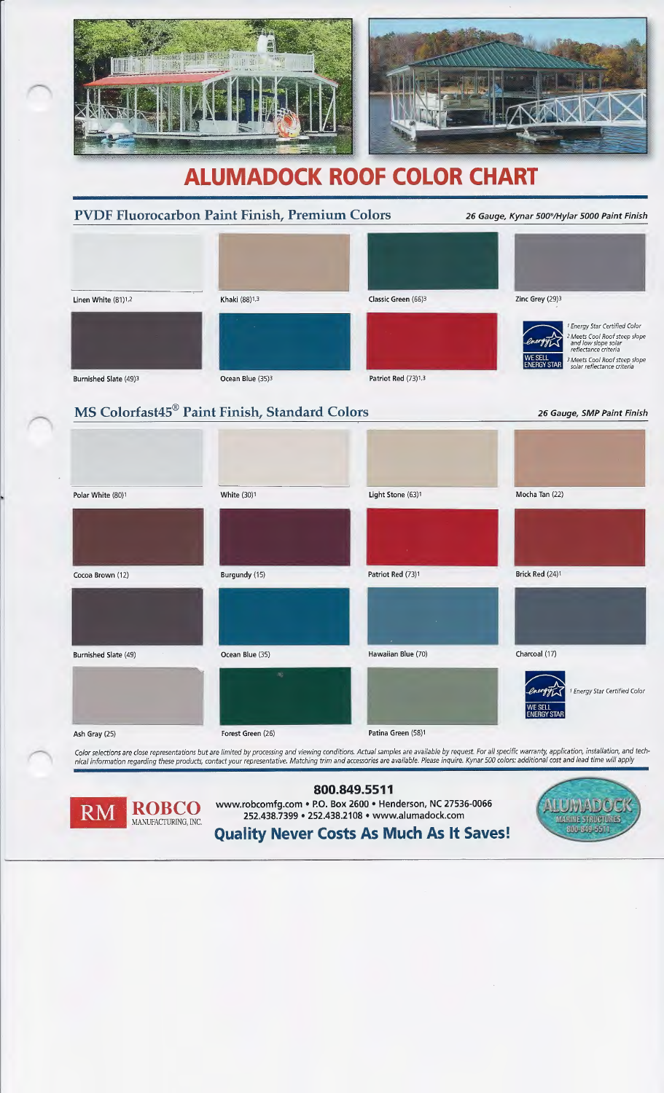

# **ALUMADOCK ROOF COLOR CHART**

### PVDF Fluorocarbon Paint Finish, Premium Colors 26 Gauge, Kynar 500%Hylar 5000 Paint Finish



## MS Colorfast45® Paint Finish, Standard Colors

Polar White (80)1 **Contract Contract Contract Contract Contract Contract Contract Contract Contract Contract Contract Contract Contract Contract Contract Contract Contract Contract Contract Contract Contract Contract Contr** Cocoa Brown (12) Burgundy (15) Patriot Red (73)1 Burnished Slate (49) Ocean Blue (35) Hawaiian Blue (70) Ash Gray (25) **Forest Green (26) Patina Green (58)**<sup>1</sup> **Patina Green** (58)<sup>1</sup> Mocha Tan (22) Brick Red (24)1 Charcoal (17) <sup>1</sup> Energy Star Certified Color **ENERGY STAR** 

Color selections are close representations but are limited by processing and viewing conditions. Actual samples are available by request. For all specific warranty, application, installation, and tech*nical information regarding these products, contact your representative. Matching trim and accessories are available. Please inquire. Kynar 500 colors: additional cost and lead time will apply* 

#### 26 Gauge, SMP Paint Finish